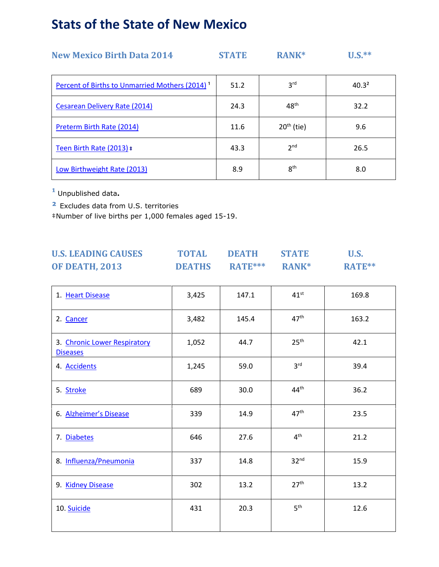## **Stats of the State of New Mexico**

| <b>New Mexico Birth Data 2014</b>                          | <b>STATE</b> | RANK*            | $U.S.***$         |
|------------------------------------------------------------|--------------|------------------|-------------------|
| Percent of Births to Unmarried Mothers (2014) <sup>1</sup> | 51.2         | 3 <sup>rd</sup>  | 40.3 <sup>2</sup> |
| Cesarean Delivery Rate (2014)                              | 24.3         | 48 <sup>th</sup> | 32.2              |
| Preterm Birth Rate (2014)                                  | 11.6         | $20th$ (tie)     | 9.6               |
| Teen Birth Rate (2013) #                                   | 43.3         | 2 <sup>nd</sup>  | 26.5              |
| Low Birthweight Rate (2013)                                | 8.9          | 8 <sup>th</sup>  | 8.0               |

**¹** Unpublished data**.**

**²** Excludes data from U.S. territories

‡Number of live births per 1,000 females aged 15-19.

| <b>U.S. LEADING CAUSES</b> | <b>TOTAL</b>  | DEATH                                               | <b>STATE</b> | U.S.   |
|----------------------------|---------------|-----------------------------------------------------|--------------|--------|
| <b>OF DEATH, 2013</b>      | <b>DEATHS</b> | $\mathbf{R} \mathbf{A} \mathbf{T} \mathbf{E}^{***}$ | <b>RANK*</b> | RATE** |

| 3,425 | 147.1 | $41^{st}$        | 169.8 |
|-------|-------|------------------|-------|
| 3,482 | 145.4 | 47 <sup>th</sup> | 163.2 |
| 1,052 | 44.7  | 25 <sup>th</sup> | 42.1  |
| 1,245 | 59.0  | 3 <sup>rd</sup>  | 39.4  |
| 689   | 30.0  | 44 <sup>th</sup> | 36.2  |
| 339   | 14.9  | 47 <sup>th</sup> | 23.5  |
| 646   | 27.6  | 4 <sup>th</sup>  | 21.2  |
| 337   | 14.8  | 32 <sup>nd</sup> | 15.9  |
| 302   | 13.2  | 27 <sup>th</sup> | 13.2  |
| 431   | 20.3  | 5 <sup>th</sup>  | 12.6  |
|       |       |                  |       |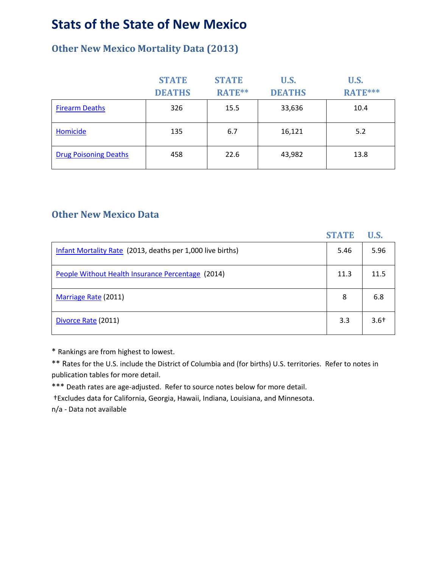### **Stats of the State of New Mexico**

### **Other New Mexico Mortality Data (2013)**

|                              | <b>STATE</b>  | <b>STATE</b> | U.S.          | <b>U.S.</b>    |
|------------------------------|---------------|--------------|---------------|----------------|
|                              | <b>DEATHS</b> | RATE**       | <b>DEATHS</b> | <b>RATE***</b> |
| <b>Firearm Deaths</b>        | 326           | 15.5         | 33,636        | 10.4           |
| Homicide                     | 135           | 6.7          | 16,121        | 5.2            |
| <b>Drug Poisoning Deaths</b> | 458           | 22.6         | 43,982        | 13.8           |

#### **Other New Mexico Data**

|                                                            | <b>STATE</b> | <b>U.S.</b> |
|------------------------------------------------------------|--------------|-------------|
| Infant Mortality Rate (2013, deaths per 1,000 live births) | 5.46         | 5.96        |
| People Without Health Insurance Percentage (2014)          | 11.3         | 11.5        |
| Marriage Rate (2011)                                       | 8            | 6.8         |
| Divorce Rate (2011)                                        | 3.3          | $3.6+$      |

\* Rankings are from highest to lowest.

\*\* Rates for the U.S. include the District of Columbia and (for births) U.S. territories. Refer to notes in publication tables for more detail.

\*\*\* Death rates are age-adjusted. Refer to source notes below for more detail.

†Excludes data for California, Georgia, Hawaii, Indiana, Louisiana, and Minnesota.

n/a - Data not available